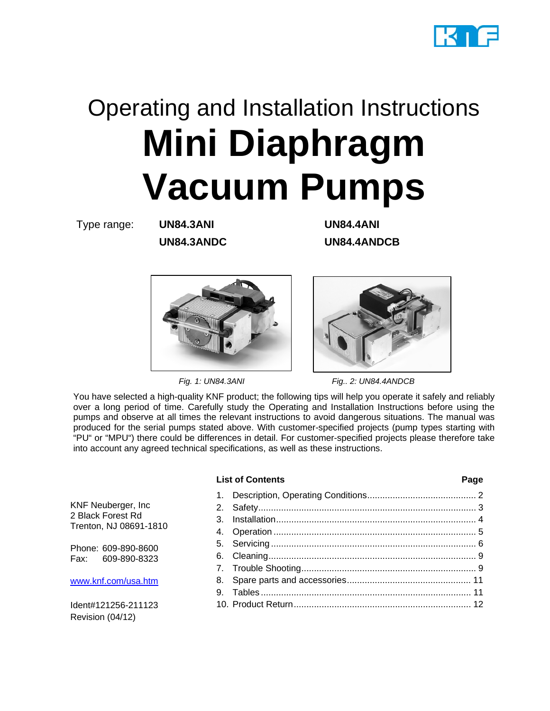

# Operating and Installation Instructions **Mini Diaphragm Vacuum Pumps**

Type range: **UN84.3ANI UN84.4ANI**

**UN84.3ANDC UN84.4ANDCB**



 *Fig. 1: UN84.3ANI Fig.. 2: UN84.4ANDCB* 

You have selected a high-quality KNF product; the following tips will help you operate it safely and reliably over a long period of time. Carefully study the Operating and Installation Instructions before using the pumps and observe at all times the relevant instructions to avoid dangerous situations. The manual was produced for the serial pumps stated above. With customer-specified projects (pump types starting with "PU" or "MPU") there could be differences in detail. For customer-specified projects please therefore take into account any agreed technical specifications, as well as these instructions.

#### **List of Contents Page**

KNF Neuberger, Inc 2 Black Forest Rd Trenton, NJ 08691-1810

Phone: 609-890-8600 Fax: 609-890-8323

www.knf.com/usa.htm

Ident#121256-211123 Revision (04/12)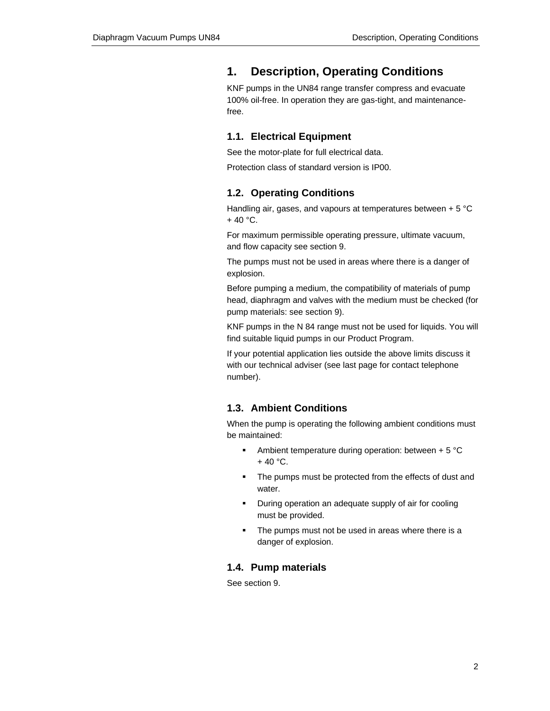## **1. Description, Operating Conditions**

KNF pumps in the UN84 range transfer compress and evacuate 100% oil-free. In operation they are gas-tight, and maintenancefree.

#### **1.1. Electrical Equipment**

See the motor-plate for full electrical data.

Protection class of standard version is IP00.

#### **1.2. Operating Conditions**

Handling air, gases, and vapours at temperatures between + 5 °C  $+ 40 °C$ .

For maximum permissible operating pressure, ultimate vacuum, and flow capacity see section 9.

The pumps must not be used in areas where there is a danger of explosion.

Before pumping a medium, the compatibility of materials of pump head, diaphragm and valves with the medium must be checked (for pump materials: see section 9).

KNF pumps in the N 84 range must not be used for liquids. You will find suitable liquid pumps in our Product Program.

If your potential application lies outside the above limits discuss it with our technical adviser (see last page for contact telephone number).

### **1.3. Ambient Conditions**

When the pump is operating the following ambient conditions must be maintained:

- Ambient temperature during operation: between  $+5$  °C  $+ 40 °C$ .
- The pumps must be protected from the effects of dust and water.
- **•** During operation an adequate supply of air for cooling must be provided.
- The pumps must not be used in areas where there is a danger of explosion.

#### **1.4. Pump materials**

See section 9.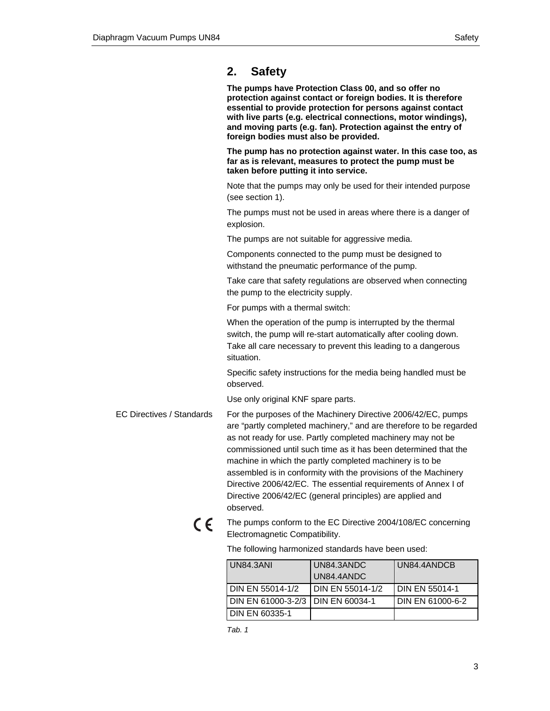## **2. Safety**

**The pumps have Protection Class 00, and so offer no protection against contact or foreign bodies. It is therefore essential to provide protection for persons against contact with live parts (e.g. electrical connections, motor windings), and moving parts (e.g. fan). Protection against the entry of foreign bodies must also be provided.** 

**The pump has no protection against water. In this case too, as far as is relevant, measures to protect the pump must be taken before putting it into service.** 

Note that the pumps may only be used for their intended purpose (see section 1).

The pumps must not be used in areas where there is a danger of explosion.

The pumps are not suitable for aggressive media.

Components connected to the pump must be designed to withstand the pneumatic performance of the pump.

Take care that safety regulations are observed when connecting the pump to the electricity supply.

For pumps with a thermal switch:

When the operation of the pump is interrupted by the thermal switch, the pump will re-start automatically after cooling down. Take all care necessary to prevent this leading to a dangerous situation.

Specific safety instructions for the media being handled must be observed.

Use only original KNF spare parts.

- For the purposes of the Machinery Directive 2006/42/EC, pumps are "partly completed machinery," and are therefore to be regarded as not ready for use. Partly completed machinery may not be commissioned until such time as it has been determined that the machine in which the partly completed machinery is to be assembled is in conformity with the provisions of the Machinery Directive 2006/42/EC. The essential requirements of Annex I of Directive 2006/42/EC (general principles) are applied and observed. EC Directives / Standards
	- $\epsilon$

The pumps conform to the EC Directive 2004/108/EC concerning Electromagnetic Compatibility.

The following harmonized standards have been used:

| <b>UN84.3ANI</b>                    | UN84.3ANDC              | UN84.4ANDCB           |
|-------------------------------------|-------------------------|-----------------------|
|                                     | UN84.4ANDC              |                       |
| DIN EN 55014-1/2                    | <b>DIN EN 55014-1/2</b> | <b>DIN EN 55014-1</b> |
| DIN EN 61000-3-2/3 I DIN EN 60034-1 |                         | DIN EN 61000-6-2      |
| <b>DIN EN 60335-1</b>               |                         |                       |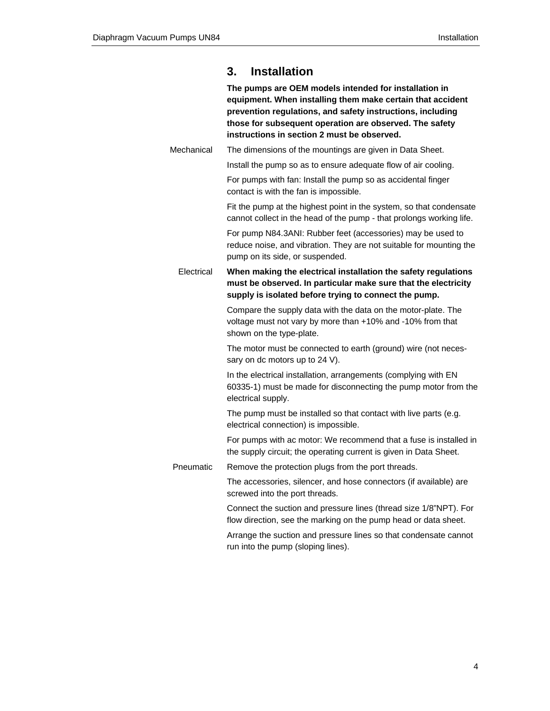|            | <b>Installation</b><br>3.                                                                                                                                                                                                                                                                   |
|------------|---------------------------------------------------------------------------------------------------------------------------------------------------------------------------------------------------------------------------------------------------------------------------------------------|
|            | The pumps are OEM models intended for installation in<br>equipment. When installing them make certain that accident<br>prevention regulations, and safety instructions, including<br>those for subsequent operation are observed. The safety<br>instructions in section 2 must be observed. |
| Mechanical | The dimensions of the mountings are given in Data Sheet.                                                                                                                                                                                                                                    |
|            | Install the pump so as to ensure adequate flow of air cooling.                                                                                                                                                                                                                              |
|            | For pumps with fan: Install the pump so as accidental finger<br>contact is with the fan is impossible.                                                                                                                                                                                      |
|            | Fit the pump at the highest point in the system, so that condensate<br>cannot collect in the head of the pump - that prolongs working life.                                                                                                                                                 |
|            | For pump N84.3ANI: Rubber feet (accessories) may be used to<br>reduce noise, and vibration. They are not suitable for mounting the<br>pump on its side, or suspended.                                                                                                                       |
| Electrical | When making the electrical installation the safety regulations<br>must be observed. In particular make sure that the electricity<br>supply is isolated before trying to connect the pump.                                                                                                   |
|            | Compare the supply data with the data on the motor-plate. The<br>voltage must not vary by more than +10% and -10% from that<br>shown on the type-plate.                                                                                                                                     |
|            | The motor must be connected to earth (ground) wire (not neces-<br>sary on dc motors up to 24 V).                                                                                                                                                                                            |
|            | In the electrical installation, arrangements (complying with EN<br>60335-1) must be made for disconnecting the pump motor from the<br>electrical supply.                                                                                                                                    |
|            | The pump must be installed so that contact with live parts (e.g.<br>electrical connection) is impossible.                                                                                                                                                                                   |
|            | For pumps with ac motor: We recommend that a fuse is installed in<br>the supply circuit; the operating current is given in Data Sheet.                                                                                                                                                      |
| Pneumatic  | Remove the protection plugs from the port threads.                                                                                                                                                                                                                                          |
|            | The accessories, silencer, and hose connectors (if available) are<br>screwed into the port threads.                                                                                                                                                                                         |
|            | Connect the suction and pressure lines (thread size 1/8"NPT). For<br>flow direction, see the marking on the pump head or data sheet.                                                                                                                                                        |
|            | Arrange the suction and pressure lines so that condensate cannot<br>run into the pump (sloping lines).                                                                                                                                                                                      |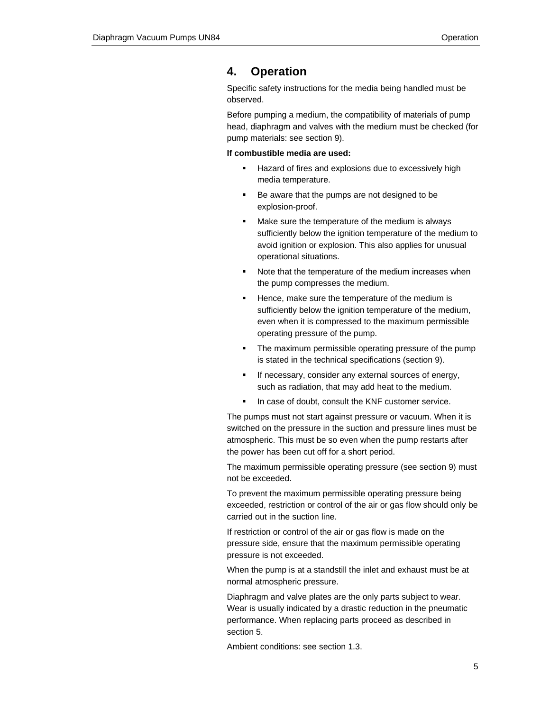## **4. Operation**

Specific safety instructions for the media being handled must be observed.

Before pumping a medium, the compatibility of materials of pump head, diaphragm and valves with the medium must be checked (for pump materials: see section 9).

#### **If combustible media are used:**

- Hazard of fires and explosions due to excessively high media temperature.
- Be aware that the pumps are not designed to be explosion-proof.
- **Make sure the temperature of the medium is always** sufficiently below the ignition temperature of the medium to avoid ignition or explosion. This also applies for unusual operational situations.
- Note that the temperature of the medium increases when the pump compresses the medium.
- **Hence, make sure the temperature of the medium is** sufficiently below the ignition temperature of the medium, even when it is compressed to the maximum permissible operating pressure of the pump.
- The maximum permissible operating pressure of the pump is stated in the technical specifications (section 9).
- If necessary, consider any external sources of energy, such as radiation, that may add heat to the medium.
- In case of doubt, consult the KNF customer service.

The pumps must not start against pressure or vacuum. When it is switched on the pressure in the suction and pressure lines must be atmospheric. This must be so even when the pump restarts after the power has been cut off for a short period.

The maximum permissible operating pressure (see section 9) must not be exceeded.

To prevent the maximum permissible operating pressure being exceeded, restriction or control of the air or gas flow should only be carried out in the suction line.

If restriction or control of the air or gas flow is made on the pressure side, ensure that the maximum permissible operating pressure is not exceeded.

When the pump is at a standstill the inlet and exhaust must be at normal atmospheric pressure.

Diaphragm and valve plates are the only parts subject to wear. Wear is usually indicated by a drastic reduction in the pneumatic performance. When replacing parts proceed as described in section 5.

Ambient conditions: see section 1.3.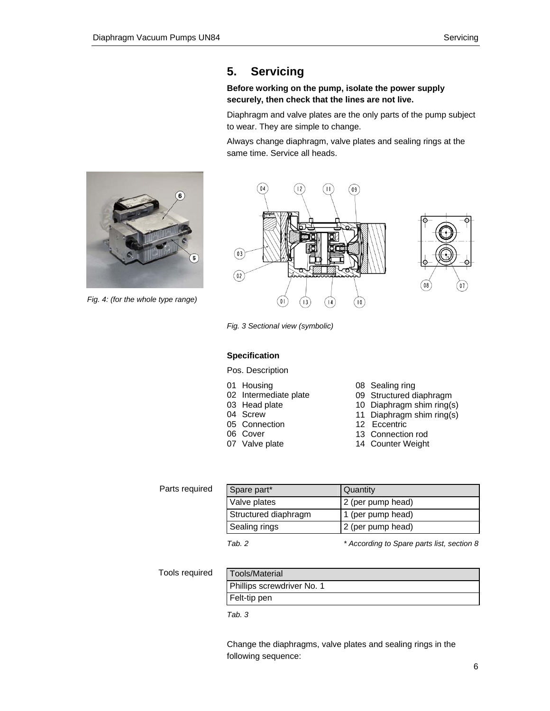## **5. Servicing**

#### **Before working on the pump, isolate the power supply securely, then check that the lines are not live.**

Diaphragm and valve plates are the only parts of the pump subject to wear. They are simple to change.

Always change diaphragm, valve plates and sealing rings at the same time. Service all heads.



*Fig. 4: (for the whole type range)* 



*Fig. 3 Sectional view (symbolic)* 

#### **Specification**

- Pos. Description
- 01 Housing
- 02 Intermediate plate
- 03 Head plate
- 04 Screw
- 05 Connection
- 06 Cover
- 07 Valve plate
- 08 Sealing ring
- 09 Structured diaphragm
- 10 Diaphragm shim ring(s)
- 11 Diaphragm shim ring(s)
- 12 Eccentric
- 13 Connection rod
- 14 Counter Weight

| Parts required | Spare part*          | Quantity                                   |
|----------------|----------------------|--------------------------------------------|
|                | Valve plates         | 2 (per pump head)                          |
|                | Structured diaphragm | 1 (per pump head)                          |
|                | Sealing rings        | 2 (per pump head)                          |
|                | Tab. 2               | * According to Spare parts list, section 8 |

Tools required

| Tools/Material             |
|----------------------------|
| Phillips screwdriver No. 1 |
| Felt-tip pen               |

*Tab. 3* 

Change the diaphragms, valve plates and sealing rings in the following sequence: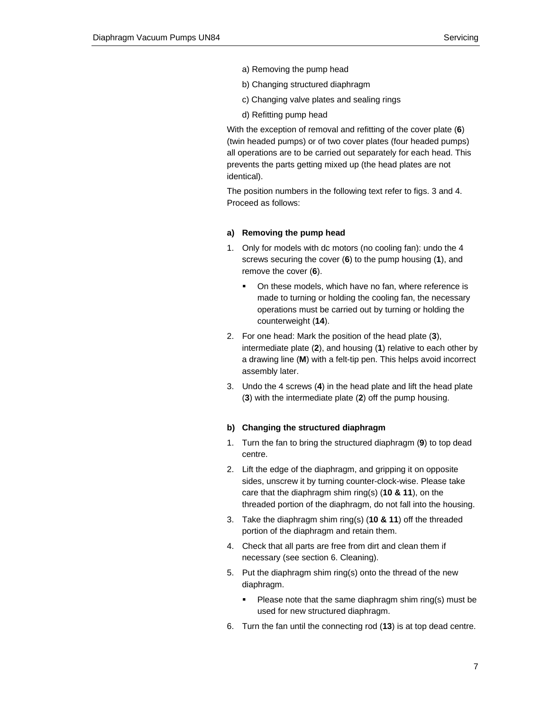- a) Removing the pump head
- b) Changing structured diaphragm
- c) Changing valve plates and sealing rings
- d) Refitting pump head

With the exception of removal and refitting of the cover plate (**6**) (twin headed pumps) or of two cover plates (four headed pumps) all operations are to be carried out separately for each head. This prevents the parts getting mixed up (the head plates are not identical).

The position numbers in the following text refer to figs. 3 and 4. Proceed as follows:

#### **a) Removing the pump head**

- 1. Only for models with dc motors (no cooling fan): undo the 4 screws securing the cover (**6**) to the pump housing (**1**), and remove the cover (**6**).
	- On these models, which have no fan, where reference is made to turning or holding the cooling fan, the necessary operations must be carried out by turning or holding the counterweight (**14**).
- 2. For one head: Mark the position of the head plate (**3**), intermediate plate (**2**), and housing (**1**) relative to each other by a drawing line (**M**) with a felt-tip pen. This helps avoid incorrect assembly later.
- 3. Undo the 4 screws (**4**) in the head plate and lift the head plate (**3**) with the intermediate plate (**2**) off the pump housing.

#### **b) Changing the structured diaphragm**

- 1. Turn the fan to bring the structured diaphragm (**9**) to top dead centre.
- 2. Lift the edge of the diaphragm, and gripping it on opposite sides, unscrew it by turning counter-clock-wise. Please take care that the diaphragm shim ring(s) (**10 & 11**), on the threaded portion of the diaphragm, do not fall into the housing.
- 3. Take the diaphragm shim ring(s) (**10 & 11**) off the threaded portion of the diaphragm and retain them.
- 4. Check that all parts are free from dirt and clean them if necessary (see section 6. Cleaning).
- 5. Put the diaphragm shim ring(s) onto the thread of the new diaphragm.
	- **Please note that the same diaphragm shim ring(s) must be** used for new structured diaphragm.
- 6. Turn the fan until the connecting rod (**13**) is at top dead centre.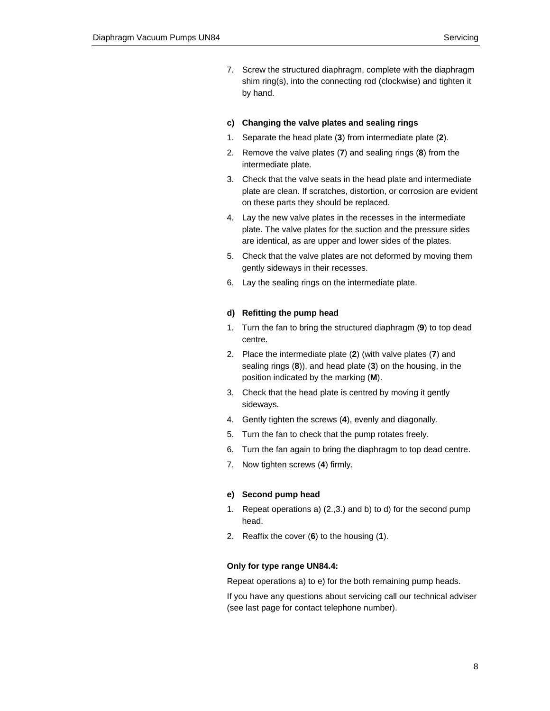7. Screw the structured diaphragm, complete with the diaphragm shim ring(s), into the connecting rod (clockwise) and tighten it by hand.

#### **c) Changing the valve plates and sealing rings**

- 1. Separate the head plate (**3**) from intermediate plate (**2**).
- 2. Remove the valve plates (**7**) and sealing rings (**8**) from the intermediate plate.
- 3. Check that the valve seats in the head plate and intermediate plate are clean. If scratches, distortion, or corrosion are evident on these parts they should be replaced.
- 4. Lay the new valve plates in the recesses in the intermediate plate. The valve plates for the suction and the pressure sides are identical, as are upper and lower sides of the plates.
- 5. Check that the valve plates are not deformed by moving them gently sideways in their recesses.
- 6. Lay the sealing rings on the intermediate plate.

#### **d) Refitting the pump head**

- 1. Turn the fan to bring the structured diaphragm (**9**) to top dead centre.
- 2. Place the intermediate plate (**2**) (with valve plates (**7**) and sealing rings (**8**)), and head plate (**3**) on the housing, in the position indicated by the marking (**M**).
- 3. Check that the head plate is centred by moving it gently sideways.
- 4. Gently tighten the screws (**4**), evenly and diagonally.
- 5. Turn the fan to check that the pump rotates freely.
- 6. Turn the fan again to bring the diaphragm to top dead centre.
- 7. Now tighten screws (**4**) firmly.

#### **e) Second pump head**

- 1. Repeat operations a) (2.,3.) and b) to d) for the second pump head.
- 2. Reaffix the cover (**6**) to the housing (**1**).

#### **Only for type range UN84.4:**

Repeat operations a) to e) for the both remaining pump heads.

If you have any questions about servicing call our technical adviser (see last page for contact telephone number).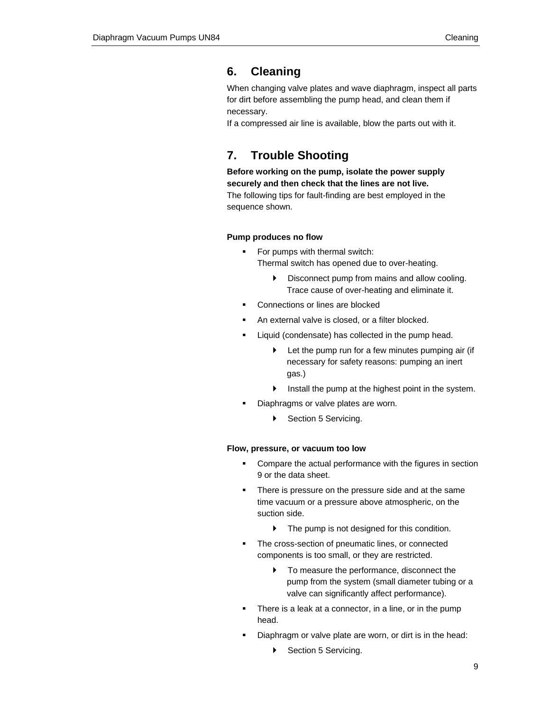## **6. Cleaning**

When changing valve plates and wave diaphragm, inspect all parts for dirt before assembling the pump head, and clean them if necessary.

If a compressed air line is available, blow the parts out with it.

## **7. Trouble Shooting**

**Before working on the pump, isolate the power supply securely and then check that the lines are not live.** The following tips for fault-finding are best employed in the sequence shown.

#### **Pump produces no flow**

- For pumps with thermal switch: Thermal switch has opened due to over-heating.
	- $\triangleright$  Disconnect pump from mains and allow cooling. Trace cause of over-heating and eliminate it.
- Connections or lines are blocked
- An external valve is closed, or a filter blocked.
- **EXECT** Liquid (condensate) has collected in the pump head.
	- $\blacktriangleright$  Let the pump run for a few minutes pumping air (if necessary for safety reasons: pumping an inert gas.)
	- $\blacktriangleright$  Install the pump at the highest point in the system.
- **Diaphragms or valve plates are worn.** 
	- ▶ Section 5 Servicing.

#### **Flow, pressure, or vacuum too low**

- **EXECOMPARE THE ACTUAL PERFORMANCE With the figures in section** 9 or the data sheet.
- There is pressure on the pressure side and at the same time vacuum or a pressure above atmospheric, on the suction side.
	- $\blacktriangleright$  The pump is not designed for this condition.
- The cross-section of pneumatic lines, or connected components is too small, or they are restricted.
	- $\triangleright$  To measure the performance, disconnect the pump from the system (small diameter tubing or a valve can significantly affect performance).
- There is a leak at a connector, in a line, or in the pump head.
- Diaphragm or valve plate are worn, or dirt is in the head:
	- ▶ Section 5 Servicing.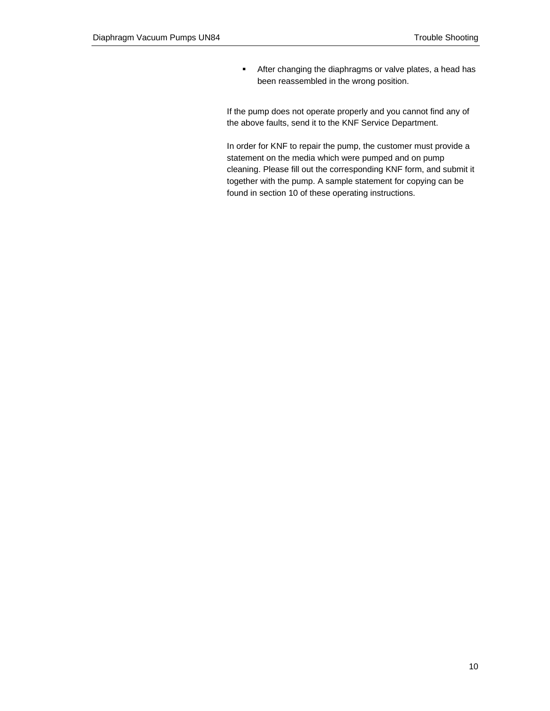**After changing the diaphragms or valve plates, a head has** been reassembled in the wrong position.

If the pump does not operate properly and you cannot find any of the above faults, send it to the KNF Service Department.

In order for KNF to repair the pump, the customer must provide a statement on the media which were pumped and on pump cleaning. Please fill out the corresponding KNF form, and submit it together with the pump. A sample statement for copying can be found in section 10 of these operating instructions.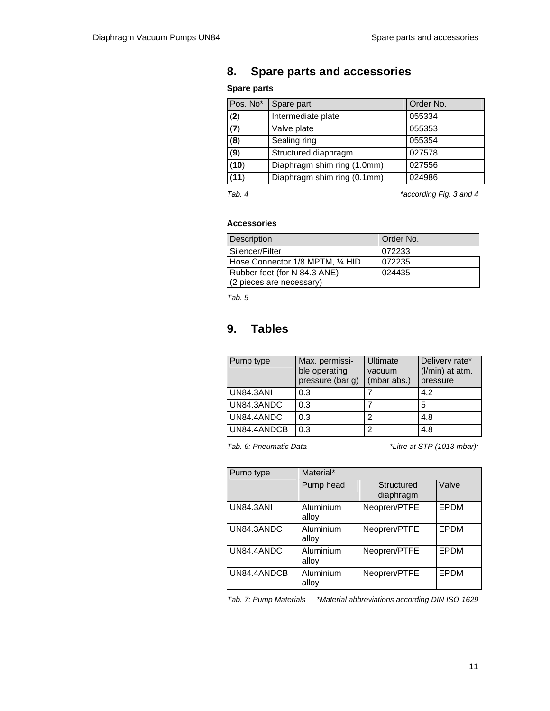## **8. Spare parts and accessories**

## **Spare parts**

| Spare part                  | Order No. |
|-----------------------------|-----------|
| Intermediate plate          | 055334    |
| Valve plate                 | 055353    |
| Sealing ring                | 055354    |
| Structured diaphragm        | 027578    |
| Diaphragm shim ring (1.0mm) | 027556    |
| Diaphragm shim ring (0.1mm) | 024986    |
|                             |           |

*Tab. 4 \*according Fig. 3 and 4* 

#### **Accessories**

| Description                      | l Order No. |
|----------------------------------|-------------|
| Silencer/Filter                  | 072233      |
| Hose Connector 1/8 MPTM, 1/4 HID | 072235      |
| Rubber feet (for N 84.3 ANE)     | 024435      |
| (2 pieces are necessary)         |             |

*Tab. 5* 

## **9. Tables**

| Pump type        | Max. permissi-<br>ble operating<br>pressure (bar g) | Ultimate<br>vacuum<br>(mbar abs.) | Delivery rate*<br>(I/min) at atm.<br>pressure |
|------------------|-----------------------------------------------------|-----------------------------------|-----------------------------------------------|
| <b>UN84.3ANI</b> | 0.3                                                 |                                   | 4.2                                           |
| UN84.3ANDC       | 0.3                                                 |                                   | 5                                             |
| UN84.4ANDC       | 0.3                                                 | っ                                 | 4.8                                           |
| UN84.4ANDCB      | 0.3                                                 | っ                                 | 4.8                                           |

*Tab. 6: Pneumatic Data \*Litre at STP (1013 mbar);* 

| Pump type        | Material*          |                         |             |
|------------------|--------------------|-------------------------|-------------|
|                  | Pump head          | Structured<br>diaphragm | Valve       |
| <b>UN84.3ANI</b> | Aluminium<br>alloy | Neopren/PTFE            | EPDM        |
| UN84.3ANDC       | Aluminium<br>alloy | Neopren/PTFE            | EPDM        |
| UN84.4ANDC       | Aluminium<br>alloy | Neopren/PTFE            | <b>EPDM</b> |
| UN84.4ANDCB      | Aluminium<br>alloy | Neopren/PTFE            | <b>EPDM</b> |

*Tab. 7: Pump Materials \*Material abbreviations according DIN ISO 1629*